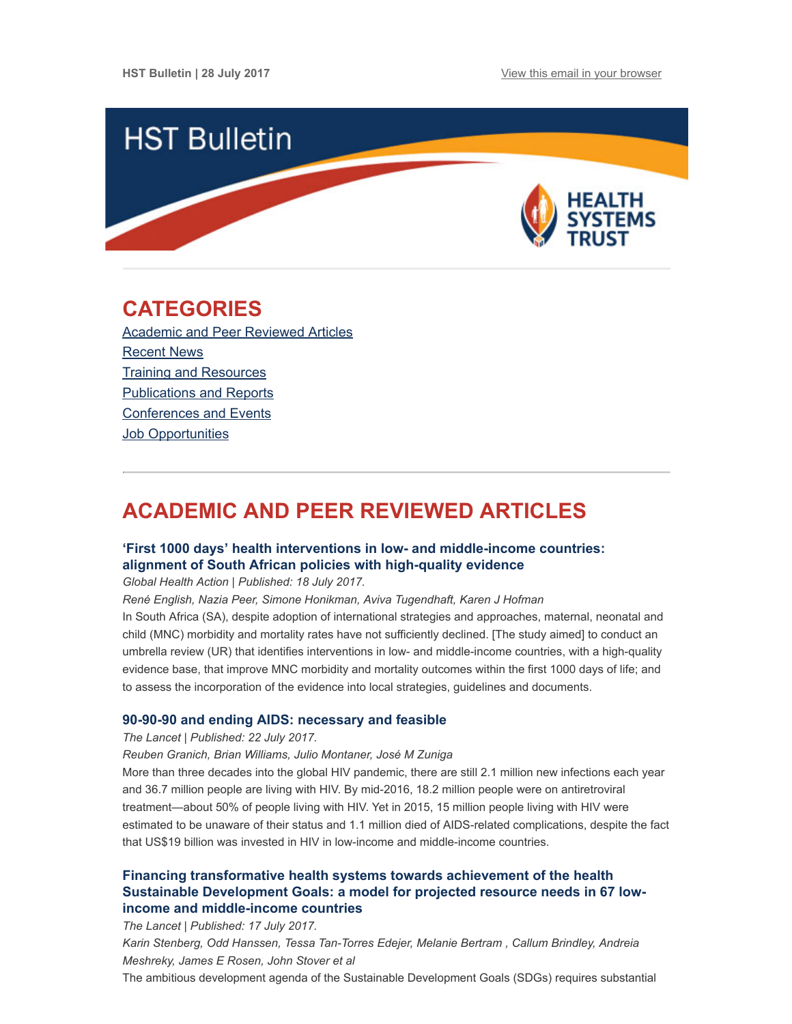

# <span id="page-0-1"></span>CATEGORIES

Academic and Peer [Reviewed](#page-0-0) Articles [Recent](#page-1-0) News Training and [Resources](#page-2-0) [Publications](#page-3-0) and Reports [Conferences](#page-3-1) and Events Job [Opportunities](#page-4-0)

# <span id="page-0-0"></span>ACADEMIC AND PEER REVIEWED ARTICLES

# 'First 1000 days' health interventions in low- and [middle-income](http://www.hst.org.za/publications/NonHST%20Publications/First%201000%20days%20health%20interventions.pdf) countries: alignment of South African policies with high-quality evidence

Global Health Action | Published: 18 July 2017.

René English, Nazia Peer, Simone Honikman, Aviva Tugendhaft, Karen J Hofman

In South Africa (SA), despite adoption of international strategies and approaches, maternal, neonatal and child (MNC) morbidity and mortality rates have not sufficiently declined. [The study aimed] to conduct an umbrella review (UR) that identifies interventions in low- and middle-income countries, with a high-quality evidence base, that improve MNC morbidity and mortality outcomes within the first 1000 days of life; and to assess the incorporation of the evidence into local strategies, guidelines and documents.

## 90-90-90 and ending AIDS: [necessary](http://www.thelancet.com/journals/lancet/article/PIIS0140-6736(17)31872-X/fulltext) and feasible

The Lancet | Published: 22 July 2017.

Reuben Granich, Brian Williams, Julio Montaner, José M Zuniga

More than three decades into the global HIV pandemic, there are still 2.1 million new infections each year and 36.7 million people are living with HIV. By mid-2016, 18.2 million people were on antiretroviral treatment—about 50% of people living with HIV. Yet in 2015, 15 million people living with HIV were estimated to be unaware of their status and 1.1 million died of AIDS-related complications, despite the fact that US\$19 billion was invested in HIV in low-income and middle-income countries.

# Financing transformative health systems towards achievement of the health Sustainable Development Goals: a model for projected resource needs in 67 lowincome and [middle-income](http://www.thelancet.com/journals/langlo/article/PIIS2214-109X(17)30263-2/fulltext?utm_source=Global+Health+NOW+Main+List&utm_campaign=120be5607e-EMAIL_CAMPAIGN_2017_07_17&utm_medium=email&utm_term=0_8d0d062dbd-120be5607e-2811001) countries

The Lancet | Published: 17 July 2017. Karin Stenberg, Odd Hanssen, Tessa Tan-Torres Edejer, Melanie Bertram , Callum Brindley, Andreia Meshreky, James E Rosen, John Stover et al The ambitious development agenda of the Sustainable Development Goals (SDGs) requires substantial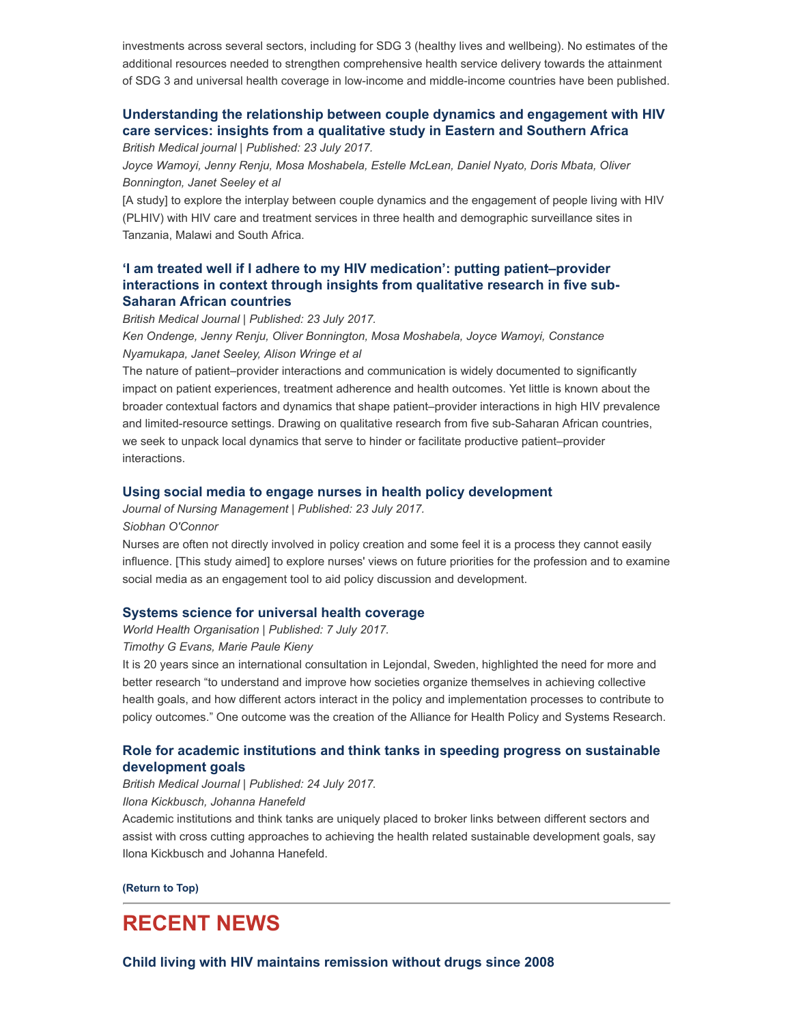investments across several sectors, including for SDG 3 (healthy lives and wellbeing). No estimates of the additional resources needed to strengthen comprehensive health service delivery towards the attainment of SDG 3 and universal health coverage in low-income and middle-income countries have been published.

# [Understanding](http://sti.bmj.com/content/93/Suppl_3/e052976) the relationship between couple dynamics and engagement with HIV care services: insights from a qualitative study in Eastern and Southern Africa

British Medical journal | Published: 23 July 2017.

Joyce Wamoyi, Jenny Renju, Mosa Moshabela, Estelle McLean, Daniel Nyato, Doris Mbata, Oliver Bonnington, Janet Seeley et al

[A study] to explore the interplay between couple dynamics and the engagement of people living with HIV (PLHIV) with HIV care and treatment services in three health and demographic surveillance sites in Tanzania, Malawi and South Africa.

# 'I am treated well if I adhere to my HIV medication': putting [patient–provider](http://sti.bmj.com/content/93/Suppl_3/e052973) interactions in context through insights from qualitative research in five sub-Saharan African countries

British Medical Journal | Published: 23 July 2017.

Ken Ondenge, Jenny Renju, Oliver Bonnington, Mosa Moshabela, Joyce Wamoyi, Constance Nyamukapa, Janet Seeley, Alison Wringe et al

The nature of patient–provider interactions and communication is widely documented to significantly impact on patient experiences, treatment adherence and health outcomes. Yet little is known about the broader contextual factors and dynamics that shape patient–provider interactions in high HIV prevalence and limited-resource settings. Drawing on qualitative research from five sub-Saharan African countries, we seek to unpack local dynamics that serve to hinder or facilitate productive patient–provider interactions.

## Using social media to engage nurses in health policy [development](http://onlinelibrary.wiley.com/doi/10.1111/jonm.12501/full)

Journal of Nursing Management | Published: 23 July 2017.

Siobhan O'Connor

Nurses are often not directly involved in policy creation and some feel it is a process they cannot easily influence. [This study aimed] to explore nurses' views on future priorities for the profession and to examine social media as an engagement tool to aid policy discussion and development.

## Systems science for universal health [coverage](http://www.who.int/bulletin/volumes/95/7/17-192542/en/)

World Health Organisation | Published: 7 July 2017.

### Timothy G Evans, Marie Paule Kieny

It is 20 years since an international consultation in Lejondal, Sweden, highlighted the need for more and better research "to understand and improve how societies organize themselves in achieving collective health goals, and how different actors interact in the policy and implementation processes to contribute to policy outcomes." One outcome was the creation of the Alliance for Health Policy and Systems Research.

## Role for academic institutions and think tanks in speeding progress on sustainable [development](http://www.bmj.com/content/358/bmj.j3519) goals

British Medical Journal | Published: 24 July 2017.

## Ilona Kickbusch, Johanna Hanefeld

Academic institutions and think tanks are uniquely placed to broker links between different sectors and assist with cross cutting approaches to achieving the health related sustainable development goals, say Ilona Kickbusch and Johanna Hanefeld.

#### [\(Return](#page-0-1) to Top)

# <span id="page-1-0"></span>RECENT NEWS

Child living with HIV maintains [remission](https://www.nih.gov/news-events/news-releases/child-living-hiv-maintains-remission-without-drugs-since-2008) without drugs since 2008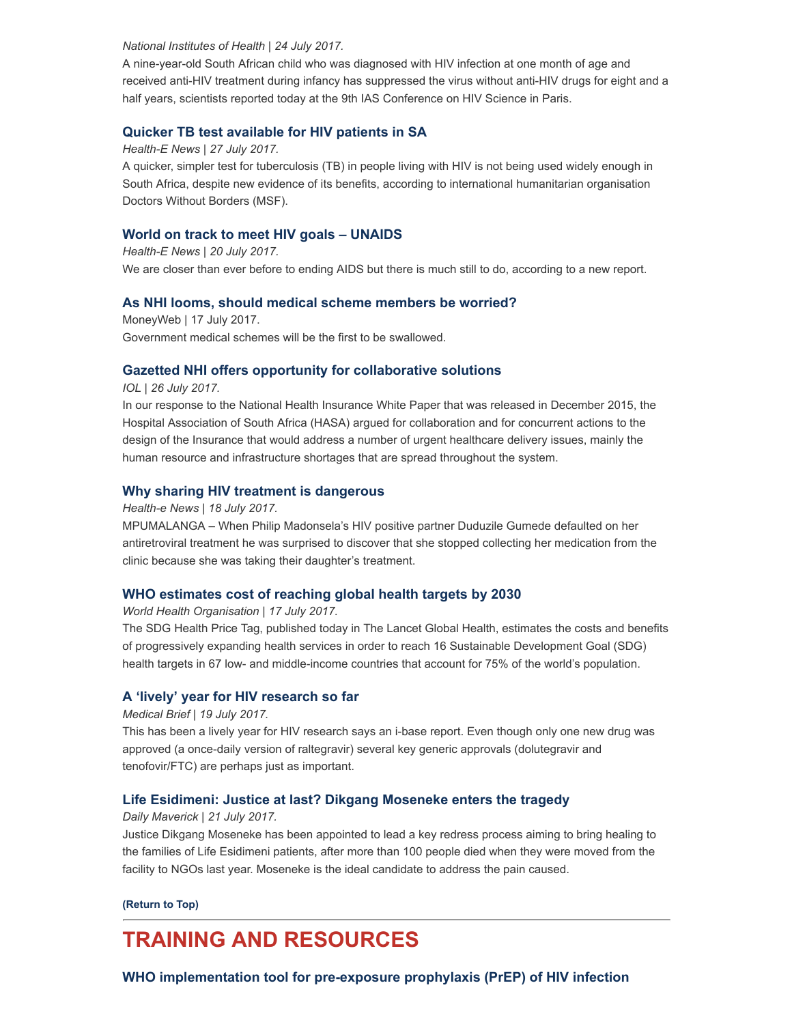#### National Institutes of Health | 24 July 2017.

A nine-year-old South African child who was diagnosed with HIV infection at one month of age and received anti-HIV treatment during infancy has suppressed the virus without anti-HIV drugs for eight and a half years, scientists reported today at the 9th IAS Conference on HIV Science in Paris.

### Quicker TB test [available](https://www.health-e.org.za/2017/07/27/quicker-tb-test-available-hiv-patients-sa/) for HIV patients in SA

Health-E News | 27 July 2017.

A quicker, simpler test for tuberculosis (TB) in people living with HIV is not being used widely enough in South Africa, despite new evidence of its benefits, according to international humanitarian organisation Doctors Without Borders (MSF).

### World on track to meet HIV goals – [UNAIDS](https://www.health-e.org.za/2017/07/20/world-finally-track-meet-hiv-goals-says-unaids/)

Health-E News | 20 July 2017. We are closer than ever before to ending AIDS but there is much still to do, according to a new report.

### As NHI looms, should medical scheme [members](https://www.moneyweb.co.za/news/south-africa/as-nhi-looms-should-medical-scheme-members-be-worried/) be worried?

MoneyWeb | 17 July 2017. Government medical schemes will be the first to be swallowed.

### Gazetted NHI offers opportunity for [collaborative](http://www.iol.co.za/news/opinion/gazetted-nhi-offers-opportunity-for-collaborative-solutions-10489758) solutions

IOL | 26 July 2017.

In our response to the National Health Insurance White Paper that was released in December 2015, the Hospital Association of South Africa (HASA) argued for collaboration and for concurrent actions to the design of the Insurance that would address a number of urgent healthcare delivery issues, mainly the human resource and infrastructure shortages that are spread throughout the system.

### Why sharing HIV treatment is [dangerous](https://www.health-e.org.za/2017/07/18/sharing-hiv-treatment-dangerous/)

Health-e News | 18 July 2017.

MPUMALANGA – When Philip Madonsela's HIV positive partner Duduzile Gumede defaulted on her antiretroviral treatment he was surprised to discover that she stopped collecting her medication from the clinic because she was taking their daughter's treatment.

### WHO [estimates](http://www.who.int/mediacentre/news/releases/2017/cost-health-targets/en/) cost of reaching global health targets by 2030

World Health Organisation | 17 July 2017.

The SDG Health Price Tag, published today in The Lancet Global Health, estimates the costs and benefits of progressively expanding health services in order to reach 16 Sustainable Development Goal (SDG) health targets in 67 low- and middle-income countries that account for 75% of the world's population.

### A 'lively' year for HIV [research](https://www.medicalbrief.co.za/archives/lively-year-hiv-research-far/) so far

#### Medical Brief | 19 July 2017.

This has been a lively year for HIV research says an i-base report. Even though only one new drug was approved (a once-daily version of raltegravir) several key generic approvals (dolutegravir and tenofovir/FTC) are perhaps just as important.

### Life [Esidimeni:](https://www.dailymaverick.co.za/article/2017-07-20-life-esidimeni-justice-at-last-dikgang-moseneke-enters-the-tragedy/#.WXHzgoSGPIV) Justice at last? Dikgang Moseneke enters the tragedy

#### Daily Maverick | 21 July 2017.

Justice Dikgang Moseneke has been appointed to lead a key redress process aiming to bring healing to the families of Life Esidimeni patients, after more than 100 people died when they were moved from the facility to NGOs last year. Moseneke is the ideal candidate to address the pain caused.

[\(Return](#page-0-1) to Top)

# <span id="page-2-0"></span>TRAINING AND RESOURCES

WHO [implementation](http://www.who.int/hiv/pub/prep/prep-implementation-tool/en/) tool for pre-exposure prophylaxis (PrEP) of HIV infection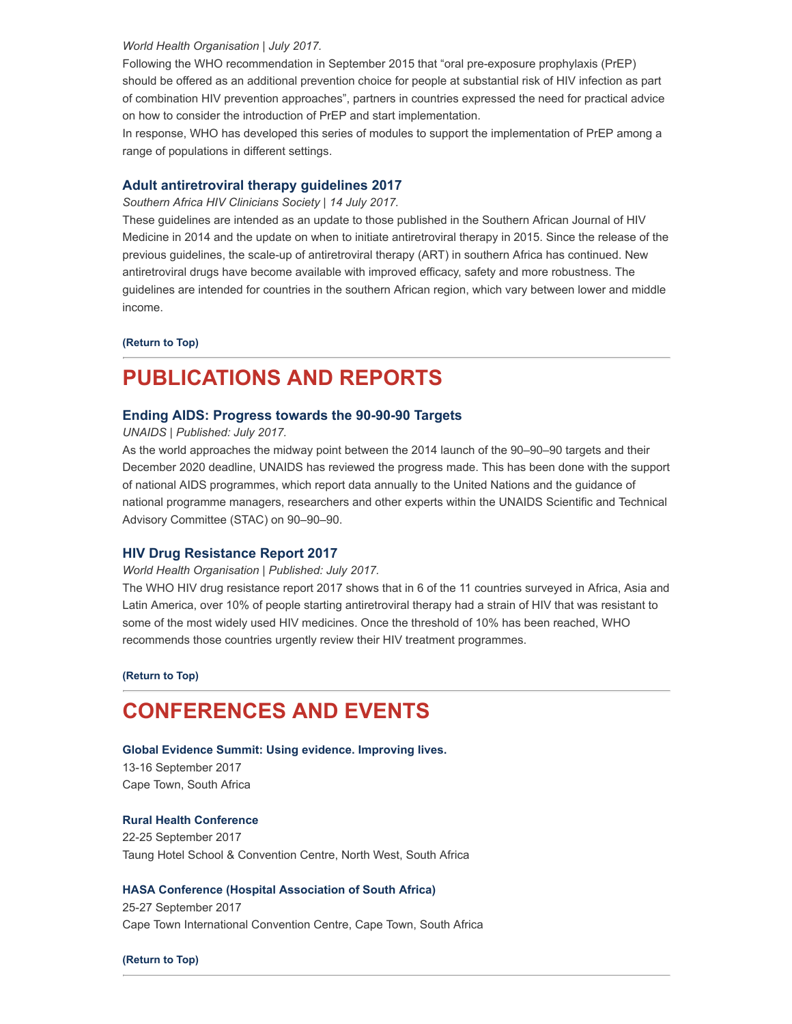#### World Health Organisation | July 2017.

Following the WHO recommendation in September 2015 that "oral pre-exposure prophylaxis (PrEP) should be offered as an additional prevention choice for people at substantial risk of HIV infection as part of combination HIV prevention approaches", partners in countries expressed the need for practical advice on how to consider the introduction of PrEP and start implementation.

In response, WHO has developed this series of modules to support the implementation of PrEP among a range of populations in different settings.

## Adult [antiretroviral](http://www.sahivsoc.org/Files/Adult%20ART%20GUIDELINE_June%202017.pdf) therapy guidelines 2017

Southern Africa HIV Clinicians Society | 14 July 2017.

These guidelines are intended as an update to those published in the Southern African Journal of HIV Medicine in 2014 and the update on when to initiate antiretroviral therapy in 2015. Since the release of the previous guidelines, the scale-up of antiretroviral therapy (ART) in southern Africa has continued. New antiretroviral drugs have become available with improved efficacy, safety and more robustness. The guidelines are intended for countries in the southern African region, which vary between lower and middle income.

#### [\(Return](#page-0-1) to Top)

# <span id="page-3-0"></span>PUBLICATIONS AND REPORTS

#### Ending AIDS: [Progress](http://www.hst.org.za/publications/NonHST%20Publications/Global_AIDS_update_2017_en.pdf) towards the 90-90-90 Targets

UNAIDS | Published: July 2017.

As the world approaches the midway point between the 2014 launch of the 90–90–90 targets and their December 2020 deadline, UNAIDS has reviewed the progress made. This has been done with the support of national AIDS programmes, which report data annually to the United Nations and the guidance of national programme managers, researchers and other experts within the UNAIDS Scientific and Technical Advisory Committee (STAC) on 90–90–90.

### HIV Drug [Resistance](http://www.hst.org.za/publications/NonHST%20Publications/HIV%20Drug%20Resistance%20Report%202017_WHO.pdf) Report 2017

#### World Health Organisation | Published: July 2017.

The WHO HIV drug resistance report 2017 shows that in 6 of the 11 countries surveyed in Africa, Asia and Latin America, over 10% of people starting antiretroviral therapy had a strain of HIV that was resistant to some of the most widely used HIV medicines. Once the threshold of 10% has been reached, WHO recommends those countries urgently review their HIV treatment programmes.

[\(Return](#page-0-1) to Top)

# <span id="page-3-1"></span>CONFERENCES AND EVENTS

#### Global Evidence Summit: Using evidence. [Improving](https://www.globalevidencesummit.org/) lives.

13-16 September 2017 Cape Town, South Africa

#### Rural Health [Conference](http://ruralhealthconference.org.za/)

22-25 September 2017 Taung Hotel School & Convention Centre, North West, South Africa

#### HASA Conference (Hospital [Association](http://www.conferencehasa.co.za/) of South Africa)

25-27 September 2017 Cape Town International Convention Centre, Cape Town, South Africa

[\(Return](#page-0-1) to Top)